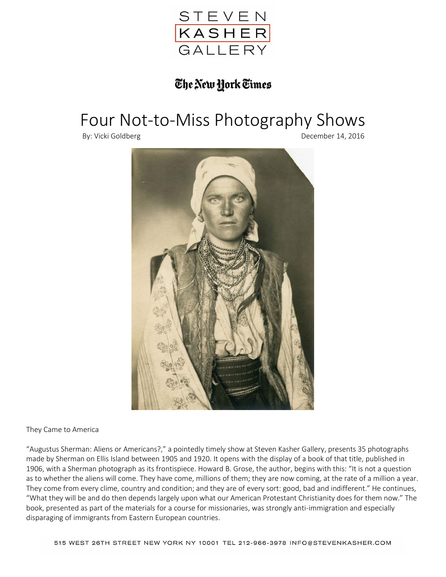

## The New York Times

## Four Not-to-Miss Photography Shows

By: Vicki Goldberg **December 14, 2016** 



They Came to America

"Augustus Sherman: Aliens or Americans?," a pointedly timely show at Steven Kasher Gallery, presents 35 photographs made by Sherman on Ellis Island between 1905 and 1920. It opens with the display of a book of that title, published in 1906, with a Sherman photograph as its frontispiece. Howard B. Grose, the author, begins with this: "It is not a question as to whether the aliens will come. They have come, millions of them; they are now coming, at the rate of a million a year. They come from every clime, country and condition; and they are of every sort: good, bad and indifferent." He continues, "What they will be and do then depends largely upon what our American Protestant Christianity does for them now." The book, presented as part of the materials for a course for missionaries, was strongly anti-immigration and especially disparaging of immigrants from Eastern European countries.